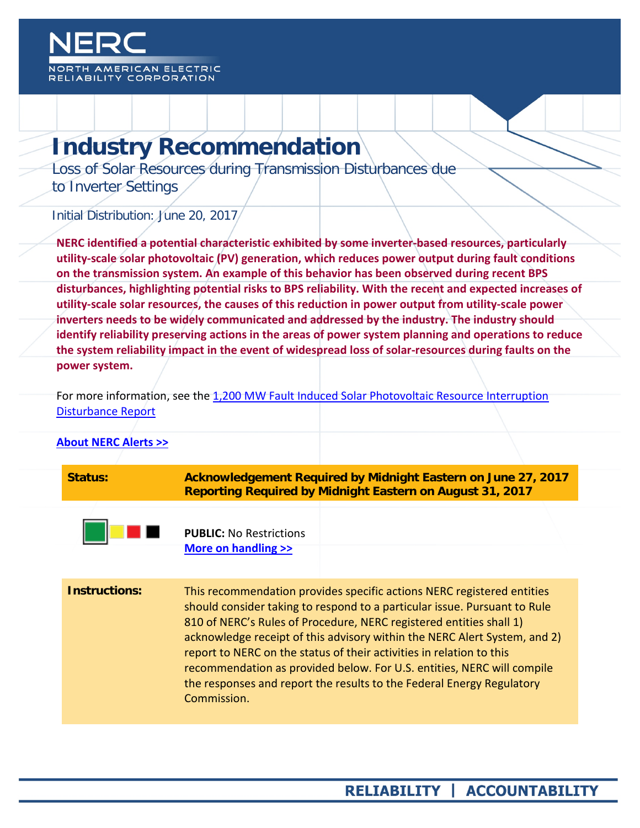

# **Industry Recommendation**

Loss of Solar Resources during Transmission Disturbances due to Inverter Settings

Initial Distribution: June 20, 2017

**NERC identified a potential characteristic exhibited by some inverter-based resources, particularly utility-scale solar photovoltaic (PV) generation, which reduces power output during fault conditions on the transmission system. An example of this behavior has been observed during recent BPS disturbances, highlighting potential risks to BPS reliability. With the recent and expected increases of utility-scale solar resources, the causes of this reduction in power output from utility-scale power inverters needs to be widely communicated and addressed by the industry. The industry should identify reliability preserving actions in the areas of power system planning and operations to reduce the system reliability impact in the event of widespread loss of solar-resources during faults on the power system.**

For more information, see the [1,200 MW Fault Induced Solar Photovoltaic Resource Interruption](http://www.nerc.com/pa/rrm/ea/Pages/1200-MW-Fault-Induced-Solar-Photovoltaic-Resource-Interruption-Disturbance-Report.aspx)  [Disturbance Report](http://www.nerc.com/pa/rrm/ea/Pages/1200-MW-Fault-Induced-Solar-Photovoltaic-Resource-Interruption-Disturbance-Report.aspx)

| <b>About NERC Alerts &gt;&gt;</b> |                                                       |                                                                                                                                                                                                                                                                                                                                                                                                                                                                                                                                    |
|-----------------------------------|-------------------------------------------------------|------------------------------------------------------------------------------------------------------------------------------------------------------------------------------------------------------------------------------------------------------------------------------------------------------------------------------------------------------------------------------------------------------------------------------------------------------------------------------------------------------------------------------------|
| Status:                           |                                                       | Acknowledgement Required by Midnight Eastern on June 27, 2017<br><b>Reporting Required by Midnight Eastern on August 31, 2017</b>                                                                                                                                                                                                                                                                                                                                                                                                  |
|                                   | <b>PUBLIC: No Restrictions</b><br>More on handling >> |                                                                                                                                                                                                                                                                                                                                                                                                                                                                                                                                    |
| <b>Instructions:</b>              | Commission.                                           | This recommendation provides specific actions NERC registered entities<br>should consider taking to respond to a particular issue. Pursuant to Rule<br>810 of NERC's Rules of Procedure, NERC registered entities shall 1)<br>acknowledge receipt of this advisory within the NERC Alert System, and 2)<br>report to NERC on the status of their activities in relation to this<br>recommendation as provided below. For U.S. entities, NERC will compile<br>the responses and report the results to the Federal Energy Regulatory |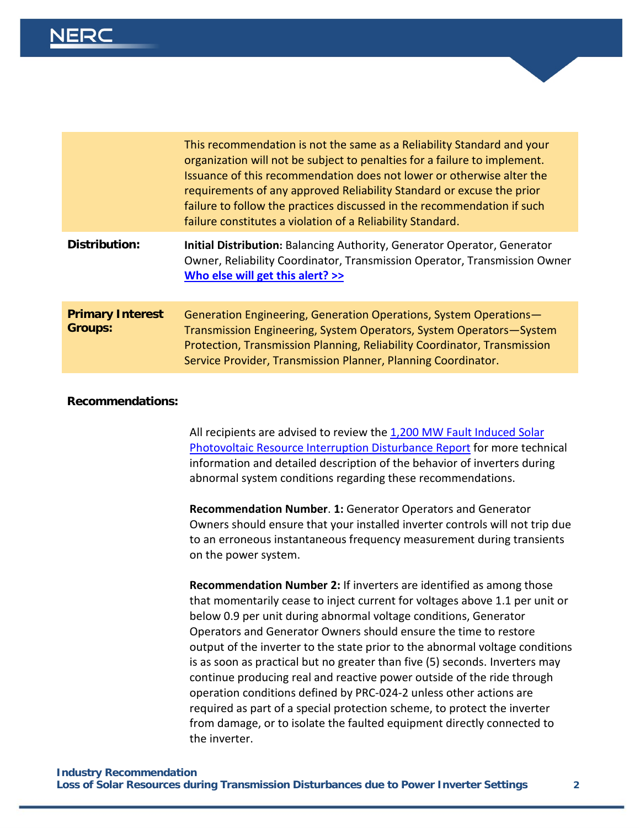|                                           | This recommendation is not the same as a Reliability Standard and your<br>organization will not be subject to penalties for a failure to implement.<br>Issuance of this recommendation does not lower or otherwise alter the<br>requirements of any approved Reliability Standard or excuse the prior<br>failure to follow the practices discussed in the recommendation if such<br>failure constitutes a violation of a Reliability Standard. |
|-------------------------------------------|------------------------------------------------------------------------------------------------------------------------------------------------------------------------------------------------------------------------------------------------------------------------------------------------------------------------------------------------------------------------------------------------------------------------------------------------|
| Distribution:                             | <b>Initial Distribution: Balancing Authority, Generator Operator, Generator</b><br>Owner, Reliability Coordinator, Transmission Operator, Transmission Owner<br>Who else will get this alert? >>                                                                                                                                                                                                                                               |
| <b>Primary Interest</b><br><b>Groups:</b> | Generation Engineering, Generation Operations, System Operations-<br>Transmission Engineering, System Operators, System Operators-System<br>Protection, Transmission Planning, Reliability Coordinator, Transmission<br>Service Provider, Transmission Planner, Planning Coordinator.                                                                                                                                                          |

#### **Recommendations:**

All recipients are advised to review the [1,200 MW Fault Induced Solar](http://www.nerc.com/pa/rrm/ea/Pages/1200-MW-Fault-Induced-Solar-Photovoltaic-Resource-Interruption-Disturbance-Report.aspx)  [Photovoltaic Resource Interruption Disturbance Report](http://www.nerc.com/pa/rrm/ea/Pages/1200-MW-Fault-Induced-Solar-Photovoltaic-Resource-Interruption-Disturbance-Report.aspx) for more technical information and detailed description of the behavior of inverters during abnormal system conditions regarding these recommendations.

**Recommendation Number**. **1:** Generator Operators and Generator Owners should ensure that your installed inverter controls will not trip due to an erroneous instantaneous frequency measurement during transients on the power system.

**Recommendation Number 2:** If inverters are identified as among those that momentarily cease to inject current for voltages above 1.1 per unit or below 0.9 per unit during abnormal voltage conditions, Generator Operators and Generator Owners should ensure the time to restore output of the inverter to the state prior to the abnormal voltage conditions is as soon as practical but no greater than five (5) seconds. Inverters may continue producing real and reactive power outside of the ride through operation conditions defined by PRC-024-2 unless other actions are required as part of a special protection scheme, to protect the inverter from damage, or to isolate the faulted equipment directly connected to the inverter.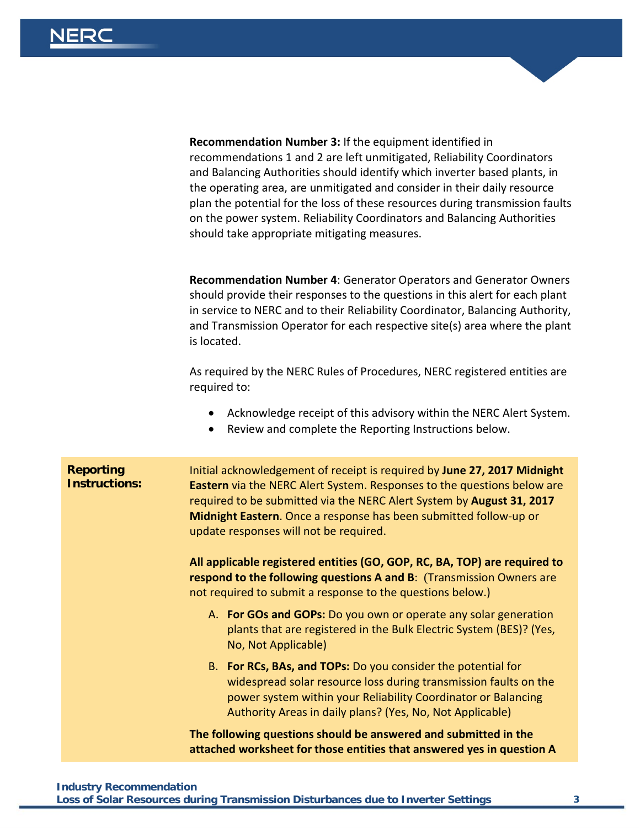**Recommendation Number 3:** If the equipment identified in recommendations 1 and 2 are left unmitigated, Reliability Coordinators and Balancing Authorities should identify which inverter based plants, in the operating area, are unmitigated and consider in their daily resource plan the potential for the loss of these resources during transmission faults on the power system. Reliability Coordinators and Balancing Authorities should take appropriate mitigating measures.

**Recommendation Number 4**: Generator Operators and Generator Owners should provide their responses to the questions in this alert for each plant in service to NERC and to their Reliability Coordinator, Balancing Authority, and Transmission Operator for each respective site(s) area where the plant is located.

As required by the NERC Rules of Procedures, NERC registered entities are required to:

- Acknowledge receipt of this advisory within the NERC Alert System.
- Review and complete the Reporting Instructions below.

| <b>Reporting</b><br><b>Instructions:</b> | Initial acknowledgement of receipt is required by June 27, 2017 Midnight<br><b>Eastern</b> via the NERC Alert System. Responses to the questions below are<br>required to be submitted via the NERC Alert System by August 31, 2017<br>Midnight Eastern. Once a response has been submitted follow-up or<br>update responses will not be required. |  |
|------------------------------------------|----------------------------------------------------------------------------------------------------------------------------------------------------------------------------------------------------------------------------------------------------------------------------------------------------------------------------------------------------|--|
|                                          | All applicable registered entities (GO, GOP, RC, BA, TOP) are required to<br>respond to the following questions A and B: (Transmission Owners are<br>not required to submit a response to the questions below.)                                                                                                                                    |  |
|                                          | A. For GOs and GOPs: Do you own or operate any solar generation<br>plants that are registered in the Bulk Electric System (BES)? (Yes,<br>No, Not Applicable)                                                                                                                                                                                      |  |
|                                          | B. For RCs, BAs, and TOPs: Do you consider the potential for<br>widespread solar resource loss during transmission faults on the<br>power system within your Reliability Coordinator or Balancing<br>Authority Areas in daily plans? (Yes, No, Not Applicable)                                                                                     |  |
|                                          | The following questions should be answered and submitted in the<br>attached worksheet for those entities that answered yes in question A                                                                                                                                                                                                           |  |

### **Industry Recommendation**

**Loss of Solar Resources during Transmission Disturbances due to Inverter Settings 3**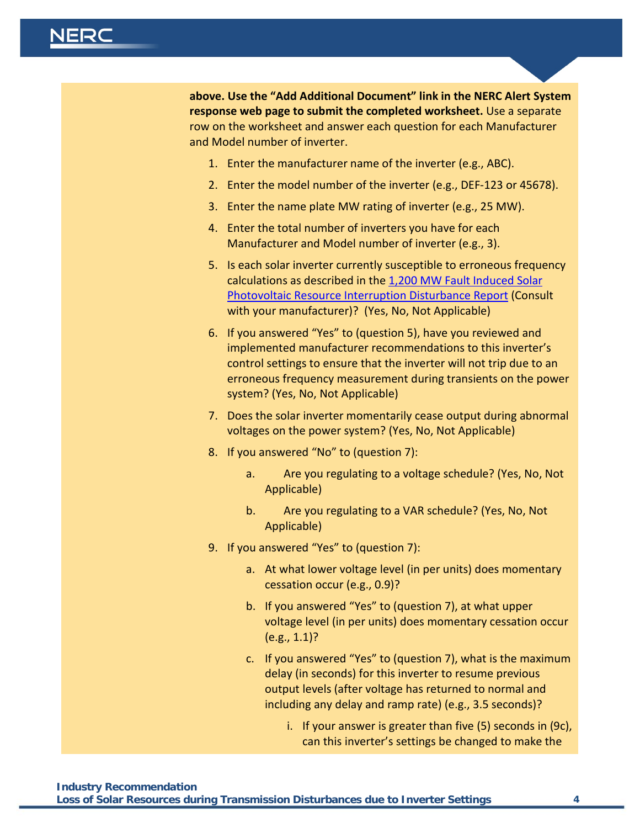**above. Use the "Add Additional Document" link in the NERC Alert System response web page to submit the completed worksheet.** Use a separate row on the worksheet and answer each question for each Manufacturer and Model number of inverter.

- 1. Enter the manufacturer name of the inverter (e.g., ABC).
- 2. Enter the model number of the inverter (e.g., DEF-123 or 45678).
- 3. Enter the name plate MW rating of inverter (e.g., 25 MW).
- 4. Enter the total number of inverters you have for each Manufacturer and Model number of inverter (e.g., 3).
- 5. Is each solar inverter currently susceptible to erroneous frequency calculations as described in the [1,200 MW Fault Induced Solar](http://www.nerc.com/pa/rrm/ea/Pages/1200-MW-Fault-Induced-Solar-Photovoltaic-Resource-Interruption-Disturbance-Report.aspx)  [Photovoltaic Resource Interruption Disturbance Report](http://www.nerc.com/pa/rrm/ea/Pages/1200-MW-Fault-Induced-Solar-Photovoltaic-Resource-Interruption-Disturbance-Report.aspx) (Consult with your manufacturer)? (Yes, No, Not Applicable)
- 6. If you answered "Yes" to (question 5), have you reviewed and implemented manufacturer recommendations to this inverter's control settings to ensure that the inverter will not trip due to an erroneous frequency measurement during transients on the power system? (Yes, No, Not Applicable)
- 7. Does the solar inverter momentarily cease output during abnormal voltages on the power system? (Yes, No, Not Applicable)
- 8. If you answered "No" to (question 7):
	- a. Are you regulating to a voltage schedule? (Yes, No, Not Applicable)
	- b. Are you regulating to a VAR schedule? (Yes, No, Not Applicable)
- 9. If you answered "Yes" to (question 7):
	- a. At what lower voltage level (in per units) does momentary cessation occur (e.g., 0.9)?
	- b. If you answered "Yes" to (question 7), at what upper voltage level (in per units) does momentary cessation occur (e.g., 1.1)?
	- c. If you answered "Yes" to (question 7), what is the maximum delay (in seconds) for this inverter to resume previous output levels (after voltage has returned to normal and including any delay and ramp rate) (e.g., 3.5 seconds)?
		- i. If your answer is greater than five (5) seconds in (9c), can this inverter's settings be changed to make the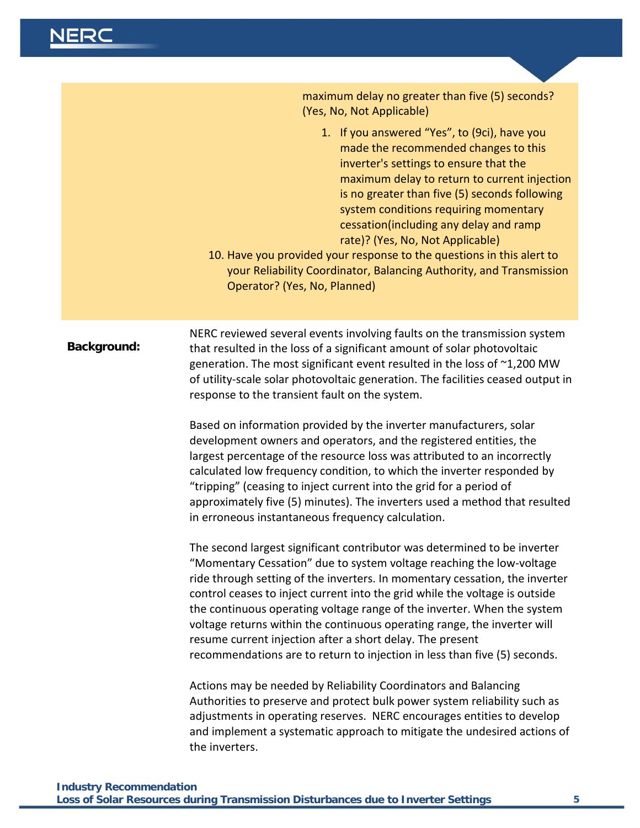**NERC** 

|             | maximum delay no greater than five (5) seconds?<br>(Yes, No, Not Applicable)                                                                                                                                                                                                                                                                                                                                                                                                                                                                                                                                    |
|-------------|-----------------------------------------------------------------------------------------------------------------------------------------------------------------------------------------------------------------------------------------------------------------------------------------------------------------------------------------------------------------------------------------------------------------------------------------------------------------------------------------------------------------------------------------------------------------------------------------------------------------|
|             | 1. If you answered "Yes", to (9ci), have you<br>made the recommended changes to this<br>inverter's settings to ensure that the<br>maximum delay to return to current injection<br>is no greater than five (5) seconds following<br>system conditions requiring momentary<br>cessation(including any delay and ramp<br>rate)? (Yes, No, Not Applicable)<br>10. Have you provided your response to the questions in this alert to<br>your Reliability Coordinator, Balancing Authority, and Transmission<br>Operator? (Yes, No, Planned)                                                                          |
| Background: | NERC reviewed several events involving faults on the transmission system<br>that resulted in the loss of a significant amount of solar photovoltaic<br>generation. The most significant event resulted in the loss of ~1,200 MW<br>of utility-scale solar photovoltaic generation. The facilities ceased output in<br>response to the transient fault on the system.                                                                                                                                                                                                                                            |
|             | Based on information provided by the inverter manufacturers, solar<br>development owners and operators, and the registered entities, the<br>largest percentage of the resource loss was attributed to an incorrectly<br>calculated low frequency condition, to which the inverter responded by<br>"tripping" (ceasing to inject current into the grid for a period of<br>approximately five (5) minutes). The inverters used a method that resulted<br>in erroneous instantaneous frequency calculation.                                                                                                        |
|             | The second largest significant contributor was determined to be inverter<br>"Momentary Cessation" due to system voltage reaching the low-voltage<br>ride through setting of the inverters. In momentary cessation, the inverter<br>control ceases to inject current into the grid while the voltage is outside<br>the continuous operating voltage range of the inverter. When the system<br>voltage returns within the continuous operating range, the inverter will<br>resume current injection after a short delay. The present<br>recommendations are to return to injection in less than five (5) seconds. |
|             | Actions may be needed by Reliability Coordinators and Balancing<br>Authorities to preserve and protect bulk power system reliability such as<br>adjustments in operating reserves. NERC encourages entities to develop<br>and implement a systematic approach to mitigate the undesired actions of<br>the inverters.                                                                                                                                                                                                                                                                                            |